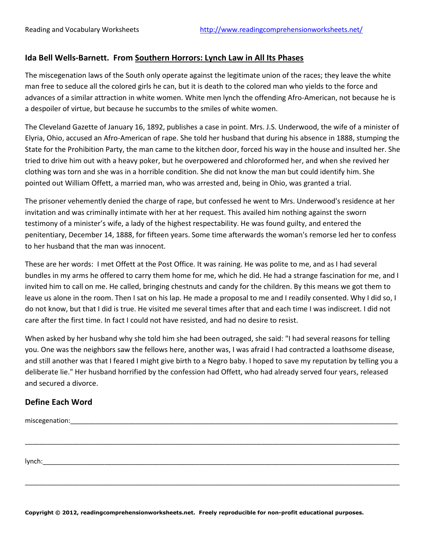## **Ida Bell Wells-Barnett. From Southern Horrors: Lynch Law in All Its Phases**

The miscegenation laws of the South only operate against the legitimate union of the races; they leave the white man free to seduce all the colored girls he can, but it is death to the colored man who yields to the force and advances of a similar attraction in white women. White men lynch the offending Afro-American, not because he is a despoiler of virtue, but because he succumbs to the smiles of white women.

The Cleveland Gazette of January 16, 1892, publishes a case in point. Mrs. J.S. Underwood, the wife of a minister of Elyria, Ohio, accused an Afro-American of rape. She told her husband that during his absence in 1888, stumping the State for the Prohibition Party, the man came to the kitchen door, forced his way in the house and insulted her. She tried to drive him out with a heavy poker, but he overpowered and chloroformed her, and when she revived her clothing was torn and she was in a horrible condition. She did not know the man but could identify him. She pointed out William Offett, a married man, who was arrested and, being in Ohio, was granted a trial.

The prisoner vehemently denied the charge of rape, but confessed he went to Mrs. Underwood's residence at her invitation and was criminally intimate with her at her request. This availed him nothing against the sworn testimony of a minister's wife, a lady of the highest respectability. He was found guilty, and entered the penitentiary, December 14, 1888, for fifteen years. Some time afterwards the woman's remorse led her to confess to her husband that the man was innocent.

These are her words: I met Offett at the Post Office. It was raining. He was polite to me, and as I had several bundles in my arms he offered to carry them home for me, which he did. He had a strange fascination for me, and I invited him to call on me. He called, bringing chestnuts and candy for the children. By this means we got them to leave us alone in the room. Then I sat on his lap. He made a proposal to me and I readily consented. Why I did so, I do not know, but that I did is true. He visited me several times after that and each time I was indiscreet. I did not care after the first time. In fact I could not have resisted, and had no desire to resist.

When asked by her husband why she told him she had been outraged, she said: "I had several reasons for telling you. One was the neighbors saw the fellows here, another was, I was afraid I had contracted a loathsome disease, and still another was that I feared I might give birth to a Negro baby. I hoped to save my reputation by telling you a deliberate lie." Her husband horrified by the confession had Offett, who had already served four years, released and secured a divorce.

\_\_\_\_\_\_\_\_\_\_\_\_\_\_\_\_\_\_\_\_\_\_\_\_\_\_\_\_\_\_\_\_\_\_\_\_\_\_\_\_\_\_\_\_\_\_\_\_\_\_\_\_\_\_\_\_\_\_\_\_\_\_\_\_\_\_\_\_\_\_\_\_\_\_\_\_\_\_\_\_\_\_\_\_\_\_\_\_\_\_\_\_\_\_\_\_\_\_\_\_\_\_\_

\_\_\_\_\_\_\_\_\_\_\_\_\_\_\_\_\_\_\_\_\_\_\_\_\_\_\_\_\_\_\_\_\_\_\_\_\_\_\_\_\_\_\_\_\_\_\_\_\_\_\_\_\_\_\_\_\_\_\_\_\_\_\_\_\_\_\_\_\_\_\_\_\_\_\_\_\_\_\_\_\_\_\_\_\_\_\_\_\_\_\_\_\_\_\_\_\_\_\_\_\_\_\_

## **Define Each Word**

miscegenation: entries and the set of the set of the set of the set of the set of the set of the set of the set of the set of the set of the set of the set of the set of the set of the set of the set of the set of the set

 $lynch:$ 

**Copyright © 2012, readingcomprehensionworksheets.net. Freely reproducible for non-profit educational purposes.**